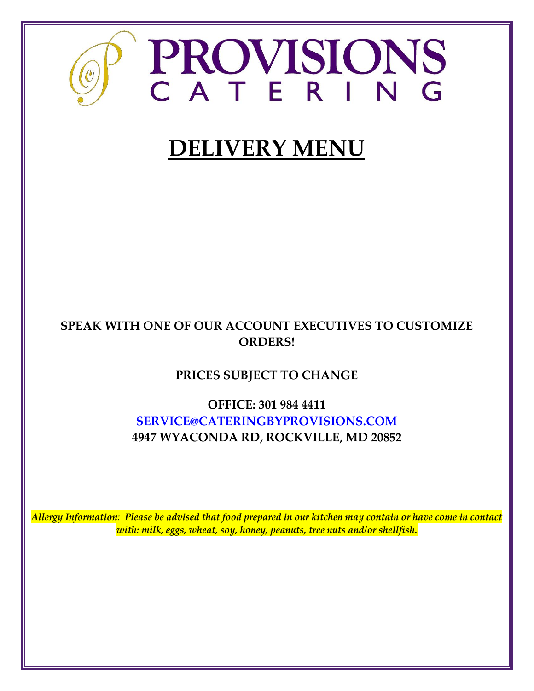

# **DELIVERY MENU**

# **SPEAK WITH ONE OF OUR ACCOUNT EXECUTIVES TO CUSTOMIZE ORDERS!**

# **PRICES SUBJECT TO CHANGE**

**OFFICE: 301 984 4411 [SERVICE@CATERINGBYPROVISIONS.COM](mailto:SERVICE@CATERINGBYPROVISIONS.COM) 4947 WYACONDA RD, ROCKVILLE, MD 20852**

*Allergy Information: Please be advised that food prepared in our kitchen may contain or have come in contact with: milk, eggs, wheat, soy, honey, peanuts, tree nuts and/or shellfish.*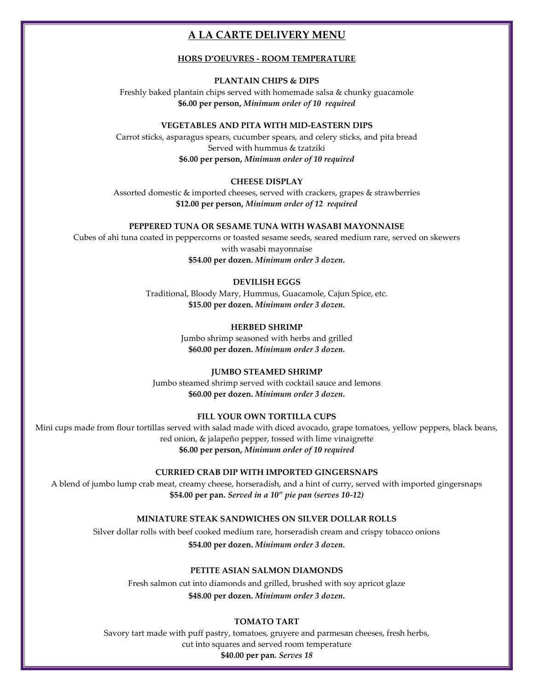# **A LA CARTE DELIVERY MENU**

### **HORS D'OEUVRES - ROOM TEMPERATURE**

#### **PLANTAIN CHIPS & DIPS**

Freshly baked plantain chips served with homemade salsa & chunky guacamole **\$6.00 per person,** *Minimum order of 10 required*

#### **VEGETABLES AND PITA WITH MID-EASTERN DIPS**

Carrot sticks, asparagus spears, cucumber spears, and celery sticks, and pita bread Served with hummus & tzatziki **\$6.00 per person,** *Minimum order of 10 required*

#### **CHEESE DISPLAY**

Assorted domestic & imported cheeses, served with crackers, grapes & strawberries **\$12.00 per person,** *Minimum order of 12 required*

#### **PEPPERED TUNA OR SESAME TUNA WITH WASABI MAYONNAISE**

Cubes of ahi tuna coated in peppercorns or toasted sesame seeds, seared medium rare, served on skewers with wasabi mayonnaise **\$54.00 per dozen.** *Minimum order 3 dozen.*

## **DEVILISH EGGS**

Traditional, Bloody Mary, Hummus, Guacamole, Cajun Spice, etc. **\$15.00 per dozen.** *Minimum order 3 dozen.*

#### **HERBED SHRIMP**

Jumbo shrimp seasoned with herbs and grilled **\$60.00 per dozen.** *Minimum order 3 dozen.*

#### **JUMBO STEAMED SHRIMP**

Jumbo steamed shrimp served with cocktail sauce and lemons **\$60.00 per dozen.** *Minimum order 3 dozen.*

#### **FILL YOUR OWN TORTILLA CUPS**

Mini cups made from flour tortillas served with salad made with diced avocado, grape tomatoes, yellow peppers, black beans, red onion, & jalapeño pepper, tossed with lime vinaigrette **\$6.00 per person,** *Minimum order of 10 required*

#### **CURRIED CRAB DIP WITH IMPORTED GINGERSNAPS**

A blend of jumbo lump crab meat, creamy cheese, horseradish, and a hint of curry, served with imported gingersnaps **\$54.00 per pan.** *Served in a 10" pie pan (serves 10-12)*

#### **MINIATURE STEAK SANDWICHES ON SILVER DOLLAR ROLLS**

Silver dollar rolls with beef cooked medium rare, horseradish cream and crispy tobacco onions **\$54.00 per dozen.** *Minimum order 3 dozen.*

#### **PETITE ASIAN SALMON DIAMONDS**

Fresh salmon cut into diamonds and grilled, brushed with soy apricot glaze **\$48.00 per dozen.** *Minimum order 3 dozen.*

#### **TOMATO TART**

Savory tart made with puff pastry, tomatoes, gruyere and parmesan cheeses, fresh herbs, cut into squares and served room temperature **\$40.00 per pan.** *Serves 18*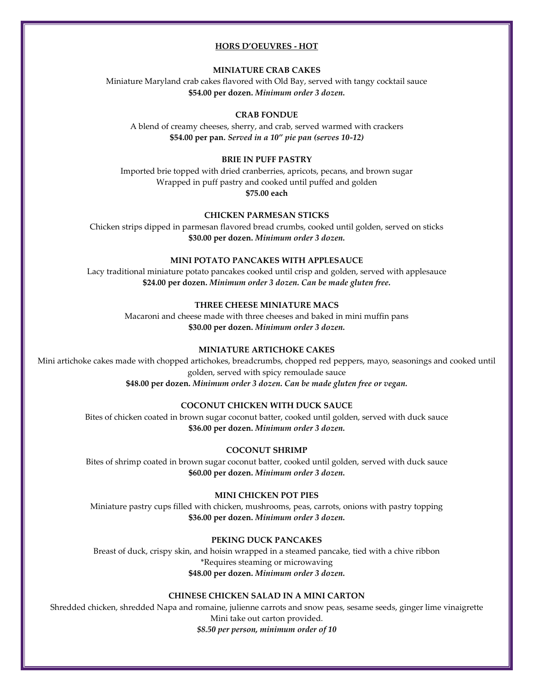#### **HORS D'OEUVRES - HOT**

#### **MINIATURE CRAB CAKES**

Miniature Maryland crab cakes flavored with Old Bay, served with tangy cocktail sauce **\$54.00 per dozen.** *Minimum order 3 dozen.*

#### **CRAB FONDUE**

A blend of creamy cheeses, sherry, and crab, served warmed with crackers **\$54.00 per pan***. Served in a 10" pie pan (serves 10-12)*

# **BRIE IN PUFF PASTRY**

Imported brie topped with dried cranberries, apricots, pecans, and brown sugar Wrapped in puff pastry and cooked until puffed and golden **\$75.00 each**

# **CHICKEN PARMESAN STICKS**

Chicken strips dipped in parmesan flavored bread crumbs, cooked until golden, served on sticks **\$30.00 per dozen.** *Minimum order 3 dozen.*

#### **MINI POTATO PANCAKES WITH APPLESAUCE**

Lacy traditional miniature potato pancakes cooked until crisp and golden, served with applesauce **\$24.00 per dozen.** *Minimum order 3 dozen. Can be made gluten free.*

# **THREE CHEESE MINIATURE MACS**

Macaroni and cheese made with three cheeses and baked in mini muffin pans **\$30.00 per dozen.** *Minimum order 3 dozen.*

#### **MINIATURE ARTICHOKE CAKES**

Mini artichoke cakes made with chopped artichokes, breadcrumbs, chopped red peppers, mayo, seasonings and cooked until golden, served with spicy remoulade sauce **\$48.00 per dozen.** *Minimum order 3 dozen. Can be made gluten free or vegan.*

#### **COCONUT CHICKEN WITH DUCK SAUCE**

Bites of chicken coated in brown sugar coconut batter, cooked until golden, served with duck sauce **\$36.00 per dozen.** *Minimum order 3 dozen.*

#### **COCONUT SHRIMP**

Bites of shrimp coated in brown sugar coconut batter, cooked until golden, served with duck sauce **\$60.00 per dozen.** *Minimum order 3 dozen.*

#### **MINI CHICKEN POT PIES**

Miniature pastry cups filled with chicken, mushrooms, peas, carrots, onions with pastry topping **\$36.00 per dozen.** *Minimum order 3 dozen.*

# **PEKING DUCK PANCAKES**

Breast of duck, crispy skin, and hoisin wrapped in a steamed pancake, tied with a chive ribbon \*Requires steaming or microwaving **\$48.00 per dozen.** *Minimum order 3 dozen.*

# **CHINESE CHICKEN SALAD IN A MINI CARTON**

Shredded chicken, shredded Napa and romaine, julienne carrots and snow peas, sesame seeds, ginger lime vinaigrette

Mini take out carton provided. *\$8.50 per person, minimum order of 10*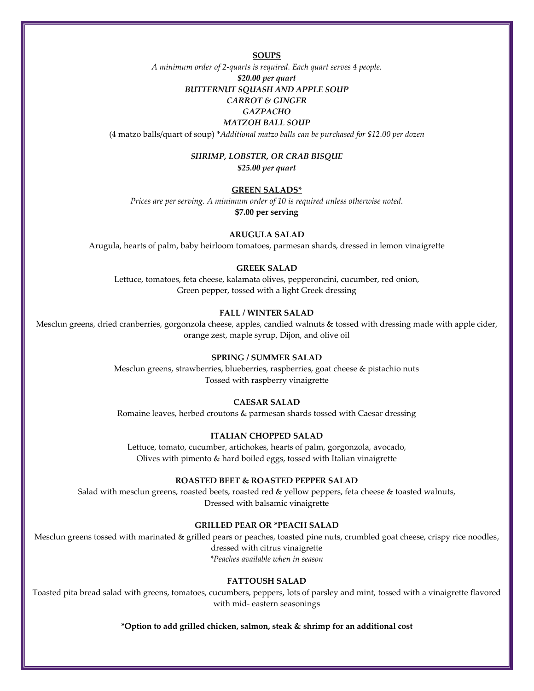**SOUPS**

*A minimum order of 2-quarts is required. Each quart serves 4 people.*

# *\$20.00 per quart BUTTERNUT SQUASH AND APPLE SOUP*

# *CARROT & GINGER*

#### *GAZPACHO MATZOH BALL SOUP*

(4 matzo balls/quart of soup) \**Additional matzo balls can be purchased for \$12.00 per dozen*

#### *SHRIMP, LOBSTER, OR CRAB BISQUE*

*\$25.00 per quart*

#### **GREEN SALADS\***

*Prices are per serving. A minimum order of 10 is required unless otherwise noted.*

**\$7.00 per serving**

#### **ARUGULA SALAD**

Arugula, hearts of palm, baby heirloom tomatoes, parmesan shards, dressed in lemon vinaigrette

# **GREEK SALAD**

Lettuce, tomatoes, feta cheese, kalamata olives, pepperoncini, cucumber, red onion, Green pepper, tossed with a light Greek dressing

#### **FALL / WINTER SALAD**

Mesclun greens, dried cranberries, gorgonzola cheese, apples, candied walnuts & tossed with dressing made with apple cider, orange zest, maple syrup, Dijon, and olive oil

# **SPRING / SUMMER SALAD**

Mesclun greens, strawberries, blueberries, raspberries, goat cheese & pistachio nuts Tossed with raspberry vinaigrette

#### **CAESAR SALAD**

Romaine leaves, herbed croutons & parmesan shards tossed with Caesar dressing

#### **ITALIAN CHOPPED SALAD**

Lettuce, tomato, cucumber, artichokes, hearts of palm, gorgonzola, avocado, Olives with pimento & hard boiled eggs, tossed with Italian vinaigrette

#### **ROASTED BEET & ROASTED PEPPER SALAD**

Salad with mesclun greens, roasted beets, roasted red & yellow peppers, feta cheese & toasted walnuts, Dressed with balsamic vinaigrette

#### **GRILLED PEAR OR \*PEACH SALAD**

Mesclun greens tossed with marinated & grilled pears or peaches, toasted pine nuts, crumbled goat cheese, crispy rice noodles, dressed with citrus vinaigrette *\*Peaches available when in season*

#### **FATTOUSH SALAD**

Toasted pita bread salad with greens, tomatoes, cucumbers, peppers, lots of parsley and mint, tossed with a vinaigrette flavored with mid- eastern seasonings

**\*Option to add grilled chicken, salmon, steak & shrimp for an additional cost**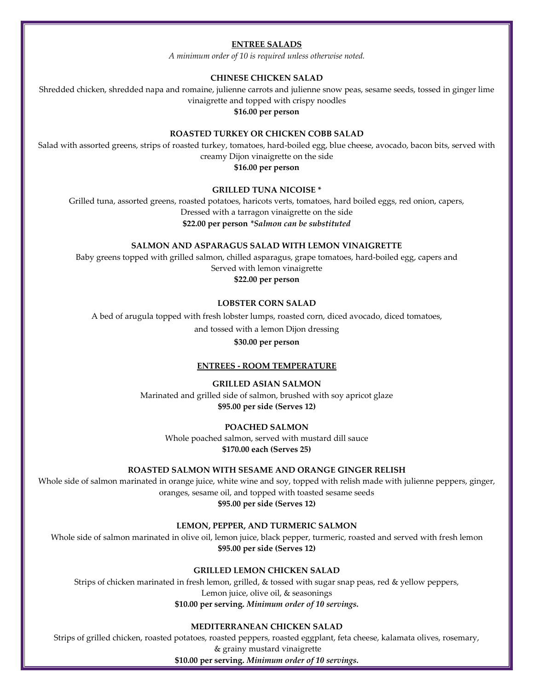# **ENTREE SALADS**

*A minimum order of 10 is required unless otherwise noted.*

#### **CHINESE CHICKEN SALAD**

Shredded chicken, shredded napa and romaine, julienne carrots and julienne snow peas, sesame seeds, tossed in ginger lime vinaigrette and topped with crispy noodles

#### **\$16.00 per person**

#### **ROASTED TURKEY OR CHICKEN COBB SALAD**

Salad with assorted greens, strips of roasted turkey, tomatoes, hard-boiled egg, blue cheese, avocado, bacon bits, served with creamy Dijon vinaigrette on the side

**\$16.00 per person**

#### **GRILLED TUNA NICOISE \***

Grilled tuna, assorted greens, roasted potatoes, haricots verts, tomatoes, hard boiled eggs, red onion, capers, Dressed with a tarragon vinaigrette on the side **\$22.00 per person** *\*Salmon can be substituted*

**SALMON AND ASPARAGUS SALAD WITH LEMON VINAIGRETTE**

Baby greens topped with grilled salmon, chilled asparagus, grape tomatoes, hard-boiled egg, capers and Served with lemon vinaigrette

# **\$22.00 per person**

### **LOBSTER CORN SALAD**

A bed of arugula topped with fresh lobster lumps, roasted corn, diced avocado, diced tomatoes,

and tossed with a lemon Dijon dressing

#### **\$30.00 per person**

#### **ENTREES - ROOM TEMPERATURE**

#### **GRILLED ASIAN SALMON**

Marinated and grilled side of salmon, brushed with soy apricot glaze **\$95.00 per side (Serves 12)**

# **POACHED SALMON**

Whole poached salmon, served with mustard dill sauce **\$170.00 each (Serves 25)**

#### **ROASTED SALMON WITH SESAME AND ORANGE GINGER RELISH**

Whole side of salmon marinated in orange juice, white wine and soy, topped with relish made with julienne peppers, ginger, oranges, sesame oil, and topped with toasted sesame seeds

**\$95.00 per side (Serves 12)**

**LEMON, PEPPER, AND TURMERIC SALMON**

Whole side of salmon marinated in olive oil, lemon juice, black pepper, turmeric, roasted and served with fresh lemon **\$95.00 per side (Serves 12)**

#### **GRILLED LEMON CHICKEN SALAD**

Strips of chicken marinated in fresh lemon, grilled, & tossed with sugar snap peas, red & yellow peppers, Lemon juice, olive oil, & seasonings **\$10.00 per serving.** *Minimum order of 10 servings.*

### **MEDITERRANEAN CHICKEN SALAD**

Strips of grilled chicken, roasted potatoes, roasted peppers, roasted eggplant, feta cheese, kalamata olives, rosemary, & grainy mustard vinaigrette

**\$10.00 per serving.** *Minimum order of 10 servings.*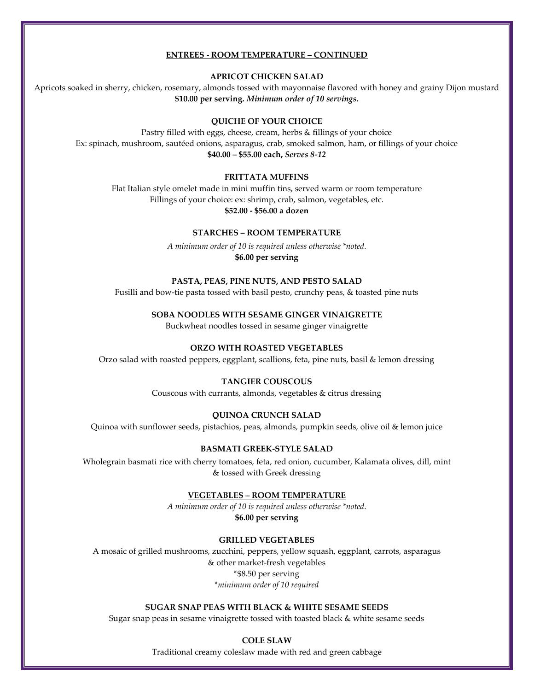#### **ENTREES - ROOM TEMPERATURE – CONTINUED**

**APRICOT CHICKEN SALAD**

Apricots soaked in sherry, chicken, rosemary, almonds tossed with mayonnaise flavored with honey and grainy Dijon mustard **\$10.00 per serving.** *Minimum order of 10 servings.*

# **QUICHE OF YOUR CHOICE**

Pastry filled with eggs, cheese, cream, herbs & fillings of your choice Ex: spinach, mushroom, sautéed onions, asparagus, crab, smoked salmon, ham, or fillings of your choice **\$40.00 – \$55.00 each,** *Serves 8-12*

#### **FRITTATA MUFFINS**

Flat Italian style omelet made in mini muffin tins, served warm or room temperature Fillings of your choice: ex: shrimp, crab, salmon, vegetables, etc. **\$52.00 - \$56.00 a dozen**

#### **STARCHES – ROOM TEMPERATURE**

*A minimum order of 10 is required unless otherwise \*noted.* **\$6.00 per serving**

#### **PASTA, PEAS, PINE NUTS, AND PESTO SALAD**

Fusilli and bow-tie pasta tossed with basil pesto, crunchy peas, & toasted pine nuts

**SOBA NOODLES WITH SESAME GINGER VINAIGRETTE**

Buckwheat noodles tossed in sesame ginger vinaigrette

#### **ORZO WITH ROASTED VEGETABLES**

Orzo salad with roasted peppers, eggplant, scallions, feta, pine nuts, basil & lemon dressing

#### **TANGIER COUSCOUS**

Couscous with currants, almonds, vegetables & citrus dressing

#### **QUINOA CRUNCH SALAD**

Quinoa with sunflower seeds, pistachios, peas, almonds, pumpkin seeds, olive oil & lemon juice

#### **BASMATI GREEK-STYLE SALAD**

Wholegrain basmati rice with cherry tomatoes, feta, red onion, cucumber, Kalamata olives, dill, mint & tossed with Greek dressing

#### **VEGETABLES – ROOM TEMPERATURE**

*A minimum order of 10 is required unless otherwise \*noted.* **\$6.00 per serving**

#### **GRILLED VEGETABLES**

A mosaic of grilled mushrooms, zucchini, peppers, yellow squash, eggplant, carrots, asparagus & other market-fresh vegetables \*\$8.50 per serving *\*minimum order of 10 required*

#### **SUGAR SNAP PEAS WITH BLACK & WHITE SESAME SEEDS**

Sugar snap peas in sesame vinaigrette tossed with toasted black & white sesame seeds

**COLE SLAW**

Traditional creamy coleslaw made with red and green cabbage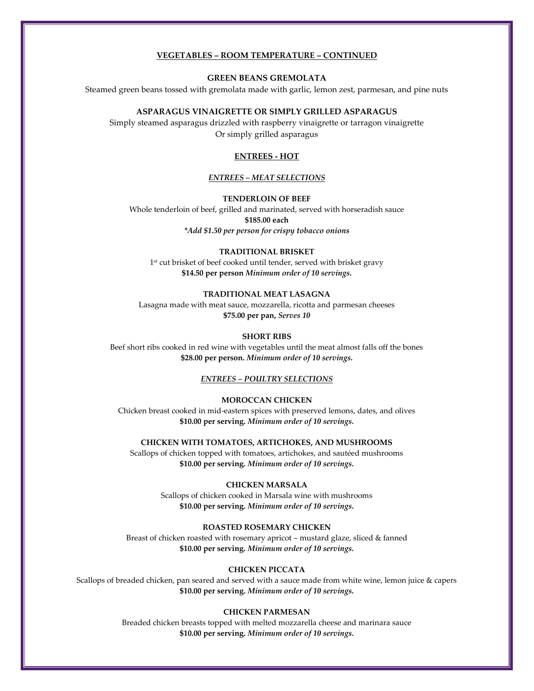#### **VEGETABLES – ROOM TEMPERATURE – CONTINUED**

#### **GREEN BEANS GREMOLATA**

Steamed green beans tossed with gremolata made with garlic, lemon zest, parmesan, and pine nuts

#### **ASPARAGUS VINAIGRETTE OR SIMPLY GRILLED ASPARAGUS**

Simply steamed asparagus drizzled with raspberry vinaigrette or tarragon vinaigrette Or simply grilled asparagus

#### **ENTREES - HOT**

#### *ENTREES – MEAT SELECTIONS*

#### **TENDERLOIN OF BEEF**

Whole tenderloin of beef, grilled and marinated, served with horseradish sauce **\$185.00 each**

*\*Add \$1.50 per person for crispy tobacco onions*

#### **TRADITIONAL BRISKET**

1 st cut brisket of beef cooked until tender, served with brisket gravy **\$14.50 per person** *Minimum order of 10 servings.*

#### **TRADITIONAL MEAT LASAGNA**

Lasagna made with meat sauce, mozzarella, ricotta and parmesan cheeses **\$75.00 per pan,** *Serves 10*

#### **SHORT RIBS**

Beef short ribs cooked in red wine with vegetables until the meat almost falls off the bones **\$28.00 per person.** *Minimum order of 10 servings.*

#### *ENTREES – POULTRY SELECTIONS*

#### **MOROCCAN CHICKEN**

Chicken breast cooked in mid-eastern spices with preserved lemons, dates, and olives **\$10.00 per serving.** *Minimum order of 10 servings.*

**CHICKEN WITH TOMATOES, ARTICHOKES, AND MUSHROOMS**

Scallops of chicken topped with tomatoes, artichokes, and sautéed mushrooms **\$10.00 per serving.** *Minimum order of 10 servings.*

#### **CHICKEN MARSALA**

Scallops of chicken cooked in Marsala wine with mushrooms **\$10.00 per serving.** *Minimum order of 10 servings.*

#### **ROASTED ROSEMARY CHICKEN**

Breast of chicken roasted with rosemary apricot – mustard glaze, sliced & fanned **\$10.00 per serving.** *Minimum order of 10 servings.*

#### **CHICKEN PICCATA**

Scallops of breaded chicken, pan seared and served with a sauce made from white wine, lemon juice & capers **\$10.00 per serving.** *Minimum order of 10 servings.*

#### **CHICKEN PARMESAN**

Breaded chicken breasts topped with melted mozzarella cheese and marinara sauce **\$10.00 per serving.** *Minimum order of 10 servings.*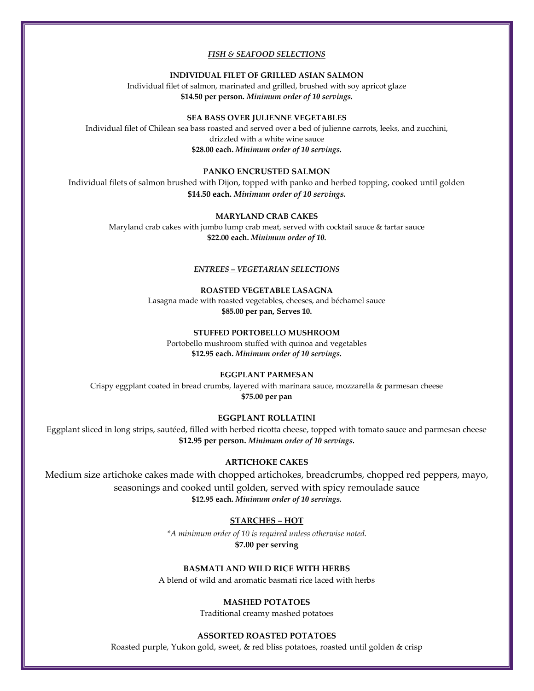#### *FISH & SEAFOOD SELECTIONS*

#### **INDIVIDUAL FILET OF GRILLED ASIAN SALMON**

Individual filet of salmon, marinated and grilled, brushed with soy apricot glaze **\$14.50 per person.** *Minimum order of 10 servings.*

#### **SEA BASS OVER JULIENNE VEGETABLES**

Individual filet of Chilean sea bass roasted and served over a bed of julienne carrots, leeks, and zucchini, drizzled with a white wine sauce **\$28.00 each.** *Minimum order of 10 servings.*

# **PANKO ENCRUSTED SALMON**

Individual filets of salmon brushed with Dijon, topped with panko and herbed topping, cooked until golden **\$14.50 each.** *Minimum order of 10 servings.*

#### **MARYLAND CRAB CAKES**

Maryland crab cakes with jumbo lump crab meat, served with cocktail sauce & tartar sauce **\$22.00 each.** *Minimum order of 10.*

#### *ENTREES – VEGETARIAN SELECTIONS*

#### **ROASTED VEGETABLE LASAGNA**

Lasagna made with roasted vegetables, cheeses, and béchamel sauce **\$85.00 per pan, Serves 10.**

# **STUFFED PORTOBELLO MUSHROOM**

Portobello mushroom stuffed with quinoa and vegetables **\$12.95 each.** *Minimum order of 10 servings.*

#### **EGGPLANT PARMESAN**

Crispy eggplant coated in bread crumbs, layered with marinara sauce, mozzarella & parmesan cheese **\$75.00 per pan**

#### **EGGPLANT ROLLATINI**

Eggplant sliced in long strips, sautéed, filled with herbed ricotta cheese, topped with tomato sauce and parmesan cheese **\$12.95 per person.** *Minimum order of 10 servings.*

#### **ARTICHOKE CAKES**

Medium size artichoke cakes made with chopped artichokes, breadcrumbs, chopped red peppers, mayo, seasonings and cooked until golden, served with spicy remoulade sauce **\$12.95 each.** *Minimum order of 10 servings.*

#### **STARCHES – HOT**

*\*A minimum order of 10 is required unless otherwise noted.* **\$7.00 per serving**

#### **BASMATI AND WILD RICE WITH HERBS**

A blend of wild and aromatic basmati rice laced with herbs

#### **MASHED POTATOES**

Traditional creamy mashed potatoes

#### **ASSORTED ROASTED POTATOES**

Roasted purple, Yukon gold, sweet, & red bliss potatoes, roasted until golden & crisp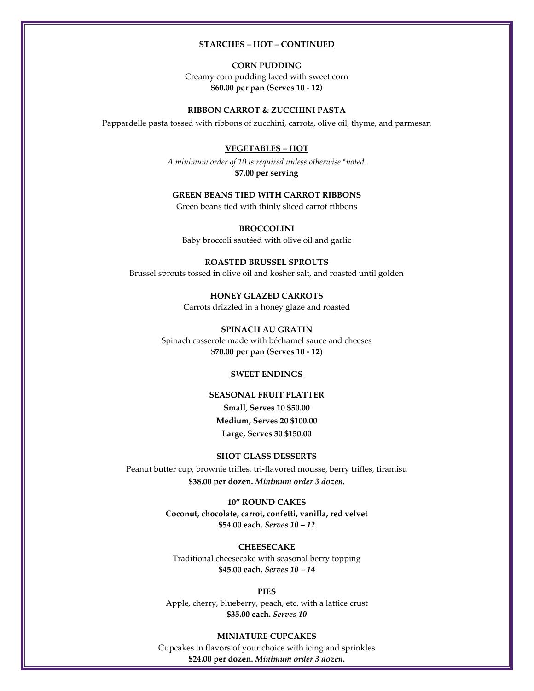#### **STARCHES – HOT – CONTINUED**

#### **CORN PUDDING**

Creamy corn pudding laced with sweet corn **\$60.00 per pan (Serves 10 - 12)**

#### **RIBBON CARROT & ZUCCHINI PASTA**

Pappardelle pasta tossed with ribbons of zucchini, carrots, olive oil, thyme, and parmesan

# **VEGETABLES – HOT**

*A minimum order of 10 is required unless otherwise \*noted.* **\$7.00 per serving**

#### **GREEN BEANS TIED WITH CARROT RIBBONS**

Green beans tied with thinly sliced carrot ribbons

**BROCCOLINI** Baby broccoli sautéed with olive oil and garlic

**ROASTED BRUSSEL SPROUTS** Brussel sprouts tossed in olive oil and kosher salt, and roasted until golden

> **HONEY GLAZED CARROTS** Carrots drizzled in a honey glaze and roasted

**SPINACH AU GRATIN** Spinach casserole made with béchamel sauce and cheeses \$**70.00 per pan (Serves 10 - 12**)

#### **SWEET ENDINGS**

# **SEASONAL FRUIT PLATTER Small, Serves 10 \$50.00 Medium, Serves 20 \$100.00 Large, Serves 30 \$150.00**

#### **SHOT GLASS DESSERTS**

Peanut butter cup, brownie trifles, tri-flavored mousse, berry trifles, tiramisu **\$38.00 per dozen.** *Minimum order 3 dozen.*

#### **10" ROUND CAKES**

**Coconut, chocolate, carrot, confetti, vanilla, red velvet \$54.00 each.** *Serves 10 – 12*

#### **CHEESECAKE**

Traditional cheesecake with seasonal berry topping **\$45.00 each.** *Serves 10 – 14*

#### **PIES**

Apple, cherry, blueberry, peach, etc. with a lattice crust **\$35.00 each.** *Serves 10*

# **MINIATURE CUPCAKES** Cupcakes in flavors of your choice with icing and sprinkles **\$24.00 per dozen.** *Minimum order 3 dozen.*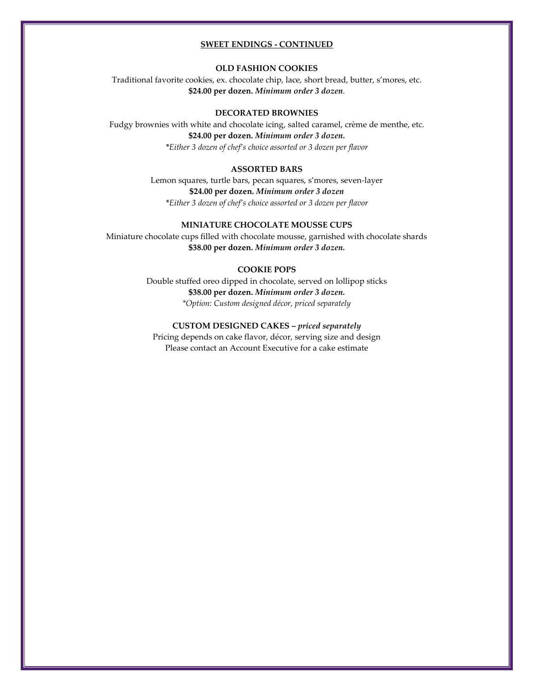#### **SWEET ENDINGS - CONTINUED**

#### **OLD FASHION COOKIES**

Traditional favorite cookies, ex. chocolate chip, lace, short bread, butter, s'mores, etc. **\$24.00 per dozen.** *Minimum order 3 dozen.*

#### **DECORATED BROWNIES**

Fudgy brownies with white and chocolate icing, salted caramel, crème de menthe, etc. **\$24.00 per dozen.** *Minimum order 3 dozen. \*Either 3 dozen of chef's choice assorted or 3 dozen per flavor*

#### **ASSORTED BARS**

Lemon squares, turtle bars, pecan squares, s'mores, seven-layer **\$24.00 per dozen.** *Minimum order 3 dozen \*Either 3 dozen of chef's choice assorted or 3 dozen per flavor*

# **MINIATURE CHOCOLATE MOUSSE CUPS**

Miniature chocolate cups filled with chocolate mousse, garnished with chocolate shards **\$38.00 per dozen.** *Minimum order 3 dozen.*

#### **COOKIE POPS**

Double stuffed oreo dipped in chocolate, served on lollipop sticks **\$38.00 per dozen.** *Minimum order 3 dozen. \*Option: Custom designed décor, priced separately*

# **CUSTOM DESIGNED CAKES –** *priced separately*

Pricing depends on cake flavor, décor, serving size and design Please contact an Account Executive for a cake estimate